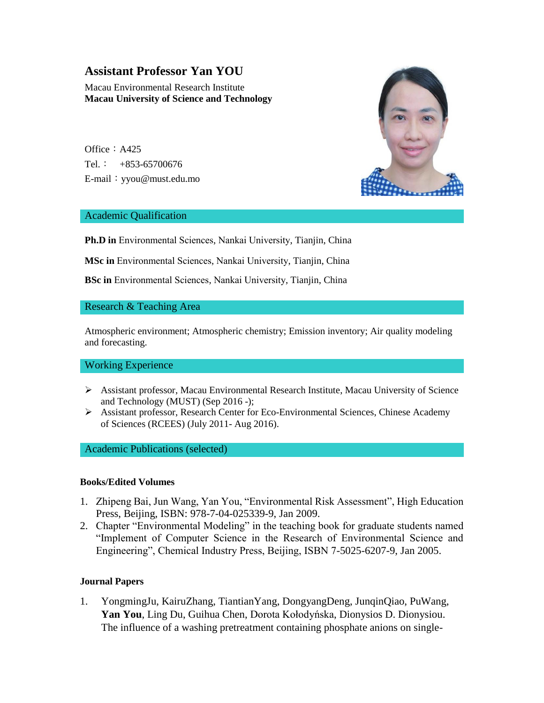# **Assistant Professor Yan YOU**

Macau Environmental Research Institute **Macau University of Science and Technology**

Office:  $A425$ Tel.:  $+853-65700676$ E-mail:yyou@must.edu.mo



## Academic Qualification

**Ph.D in** Environmental Sciences, Nankai University, Tianjin, China

**MSc in** Environmental Sciences, Nankai University, Tianjin, China

**BSc in** Environmental Sciences, Nankai University, Tianjin, China

## Research & Teaching Area

Atmospheric environment; Atmospheric chemistry; Emission inventory; Air quality modeling and forecasting.

#### Working Experience

- Assistant professor, Macau Environmental Research Institute, Macau University of Science and Technology (MUST) (Sep 2016 -);
- $\triangleright$  Assistant professor, Research Center for Eco-Environmental Sciences, Chinese Academy of Sciences (RCEES) (July 2011- Aug 2016).

#### Academic Publications (selected)

#### **Books/Edited Volumes**

- 1. Zhipeng Bai, Jun Wang, Yan You, "Environmental Risk Assessment", High Education Press, Beijing, ISBN: 978-7-04-025339-9, Jan 2009.
- 2. Chapter "Environmental Modeling" in the teaching book for graduate students named "Implement of Computer Science in the Research of Environmental Science and Engineering", Chemical Industry Press, Beijing, ISBN 7-5025-6207-9, Jan 2005.

#### **Journal Papers**

1. [YongmingJu, KairuZhang,](https://www.sciencedirect.com/science/article/pii/S1385894720300449#!) [TiantianYang, DongyangDeng, JunqinQiao, PuWang,](https://www.sciencedirect.com/science/article/pii/S1385894720300449#!) **[Yan You](https://www.sciencedirect.com/science/article/pii/S1385894720300449#!)**, [Ling Du, Guihua Chen, Dorota Kołodyńska, Dionysios D. Dionysiou.](https://www.sciencedirect.com/science/article/pii/S1385894720300449#!) The influence of a washing pretreatment containing phosphate anions on single-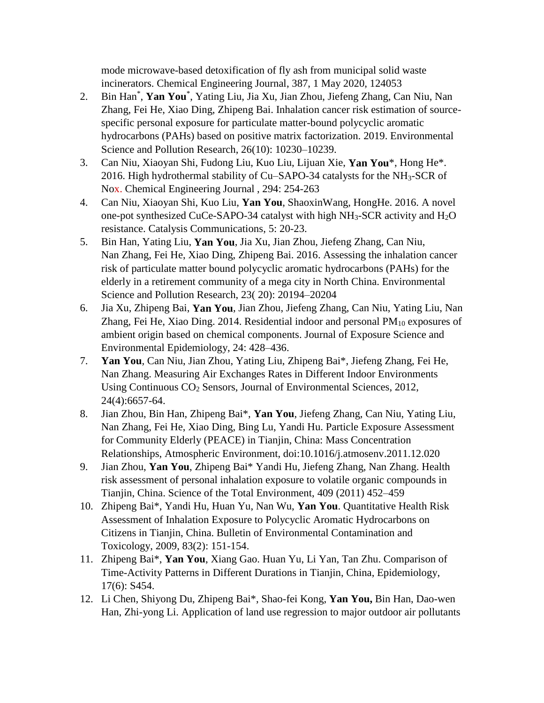mode microwave-based detoxification of fly ash from municipal solid waste incinerators. [Chemical Engineering Journal,](https://www.sciencedirect.com/science/journal/13858947) [387,](https://www.sciencedirect.com/science/journal/13858947/387/supp/C) 1 May 2020, 124053

- 2. Bin Han\* , **Yan You**\* , Yating Liu, Jia Xu, Jian Zhou, Jiefeng Zhang, Can Niu, Nan Zhang, Fei He, Xiao Ding, Zhipeng Bai. Inhalation cancer risk estimation of sourcespecific personal exposure for particulate matter-bound polycyclic aromatic hydrocarbons (PAHs) based on positive matrix factorization. 2019. [Environmental](https://link.springer.com/journal/11356)  [Science and Pollution Research,](https://link.springer.com/journal/11356) 26(10): 10230–10239.
- 3. Can Niu, Xiaoyan Shi, Fudong Liu, Kuo Liu, Lijuan Xie, **Yan You**\*, Hong He\*. 2016. High hydrothermal stability of Cu–SAPO-34 catalysts for the NH3-SCR of Nox. [Chemical Engineering Journal](https://www.sciencedirect.com/science/journal/13858947) , 294: 254-263
- 4. Can Niu, Xiaoyan Shi, Kuo Liu, **Yan You**, ShaoxinWang, HongHe. 2016. A novel one-pot synthesized CuCe-SAPO-34 catalyst with high  $NH<sub>3</sub>$ -SCR activity and  $H<sub>2</sub>O$ resistance. [Catalysis Communications,](https://www.sciencedirect.com/science/journal/15667367) 5: 20-23.
- 5. Bin Han, Yating Liu, **Yan You**, Jia Xu, Jian Zhou, Jiefeng Zhang, Can Niu, Nan Zhang, Fei He, Xiao Ding, Zhipeng Bai. 2016. Assessing the inhalation cancer risk of particulate matter bound polycyclic aromatic hydrocarbons (PAHs) for the elderly in a retirement community of a mega city in North China. Environmental Science and Pollution Research, 23( 20): 20194–20204
- 6. [Jia Xu,](https://www.nature.com/articles/jes201428#auth-1) [Zhipeng Bai,](https://www.nature.com/articles/jes201428#auth-2) **[Yan You](https://www.nature.com/articles/jes201428#auth-3)**, [Jian Zhou,](https://www.nature.com/articles/jes201428#auth-4) [Jiefeng Zhang,](https://www.nature.com/articles/jes201428#auth-5) [Can Niu,](https://www.nature.com/articles/jes201428#auth-6) [Yating Liu,](https://www.nature.com/articles/jes201428#auth-7) [Nan](https://www.nature.com/articles/jes201428#auth-8)  [Zhang,](https://www.nature.com/articles/jes201428#auth-8) [Fei He,](https://www.nature.com/articles/jes201428#auth-9) [Xiao Ding.](https://www.nature.com/articles/jes201428#auth-10) 2014. Residential indoor and personal  $PM_{10}$  exposures of ambient origin based on chemical components. Journal of Exposure Science and Environmental Epidemiology, 24: 428–436.
- 7. **Yan You**, Can Niu, Jian Zhou, Yating Liu, Zhipeng Bai\*, Jiefeng Zhang, Fei He, Nan Zhang. Measuring Air Exchanges Rates in Different Indoor Environments Using Continuous CO<sub>2</sub> Sensors, Journal of Environmental Sciences, 2012, 24(4):6657-64.
- 8. Jian Zhou, Bin Han, Zhipeng Bai\*, **Yan You**, Jiefeng Zhang, Can Niu, Yating Liu, Nan Zhang, Fei He, Xiao Ding, Bing Lu, Yandi Hu. Particle Exposure Assessment for Community Elderly (PEACE) in Tianjin, China: Mass Concentration Relationships, Atmospheric Environment, doi:10.1016/j.atmosenv.2011.12.020
- 9. Jian Zhou, **Yan You**, Zhipeng Bai\* Yandi Hu, Jiefeng Zhang, Nan Zhang. Health risk assessment of personal inhalation exposure to volatile organic compounds in Tianjin, China. Science of the Total Environment, 409 (2011) 452–459
- 10. Zhipeng Bai\*, Yandi Hu, Huan Yu, Nan Wu, **Yan You**. Quantitative Health Risk Assessment of Inhalation Exposure to Polycyclic Aromatic Hydrocarbons on Citizens in Tianjin, China. Bulletin of Environmental Contamination and Toxicology, 2009, 83(2): 151-154.
- 11. Zhipeng Bai\*, **Yan You**, Xiang Gao. Huan Yu, Li Yan, Tan Zhu. Comparison of Time-Activity Patterns in Different Durations in Tianjin, China, Epidemiology, 17(6): S454.
- 12. Li Chen, Shiyong Du, Zhipeng Bai\*, Shao-fei Kong, **Yan You,** Bin Han, Dao-wen Han, Zhi-yong Li. Application of land use regression to major outdoor air pollutants